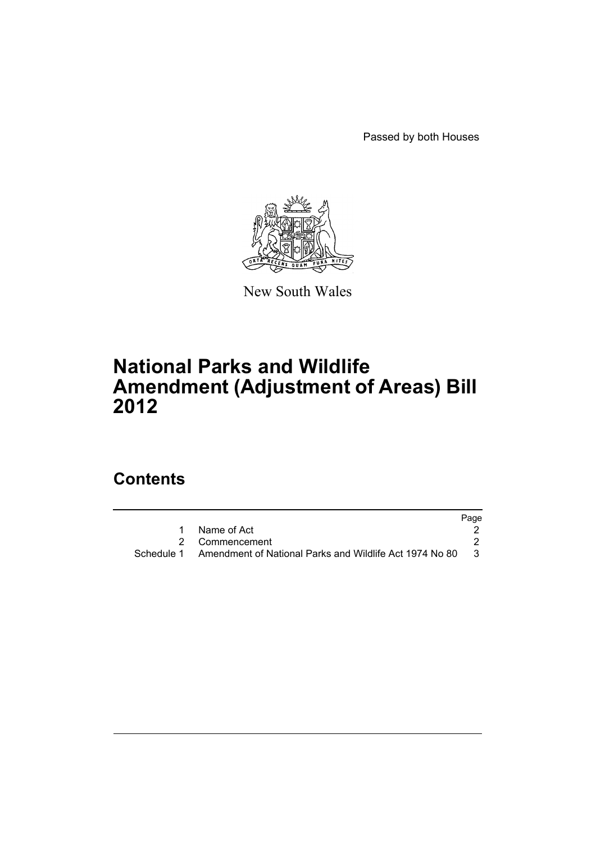Passed by both Houses



New South Wales

## **National Parks and Wildlife Amendment (Adjustment of Areas) Bill 2012**

## **Contents**

|                                                                    | Page |
|--------------------------------------------------------------------|------|
| Name of Act                                                        |      |
| 2 Commencement                                                     |      |
| Schedule 1 Amendment of National Parks and Wildlife Act 1974 No 80 | - 3  |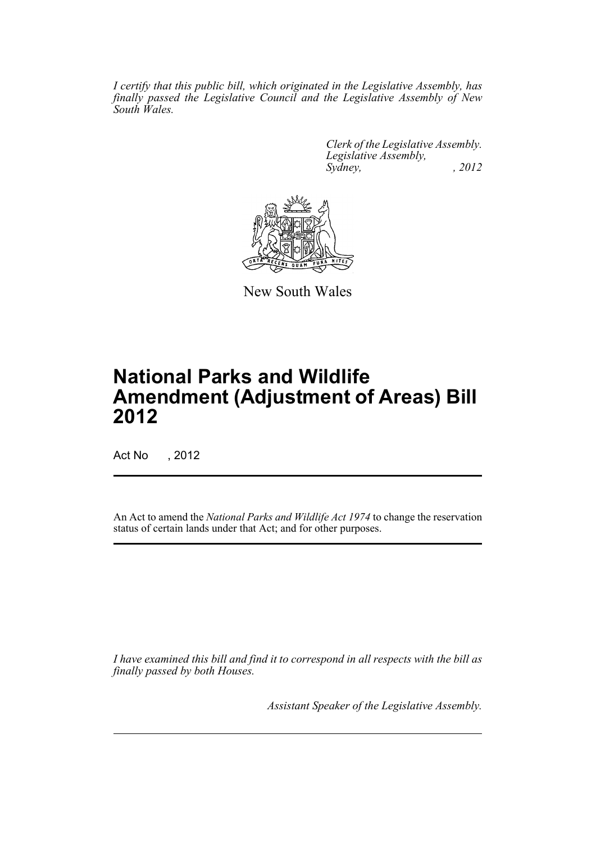*I certify that this public bill, which originated in the Legislative Assembly, has finally passed the Legislative Council and the Legislative Assembly of New South Wales.*

> *Clerk of the Legislative Assembly. Legislative Assembly, Sydney, , 2012*



New South Wales

# **National Parks and Wildlife Amendment (Adjustment of Areas) Bill 2012**

Act No , 2012

An Act to amend the *National Parks and Wildlife Act 1974* to change the reservation status of certain lands under that Act; and for other purposes.

*I have examined this bill and find it to correspond in all respects with the bill as finally passed by both Houses.*

*Assistant Speaker of the Legislative Assembly.*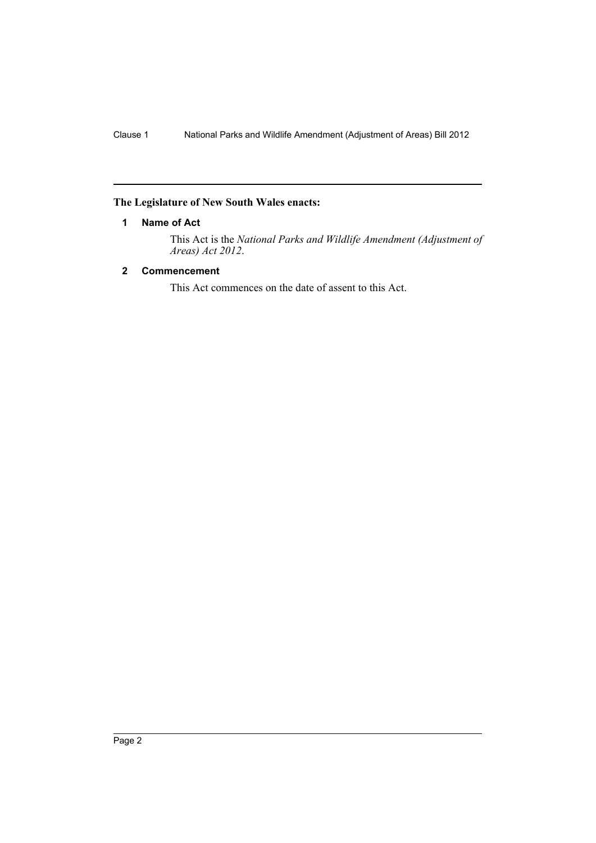### <span id="page-3-0"></span>**The Legislature of New South Wales enacts:**

#### **1 Name of Act**

This Act is the *National Parks and Wildlife Amendment (Adjustment of Areas) Act 2012*.

#### <span id="page-3-1"></span>**2 Commencement**

This Act commences on the date of assent to this Act.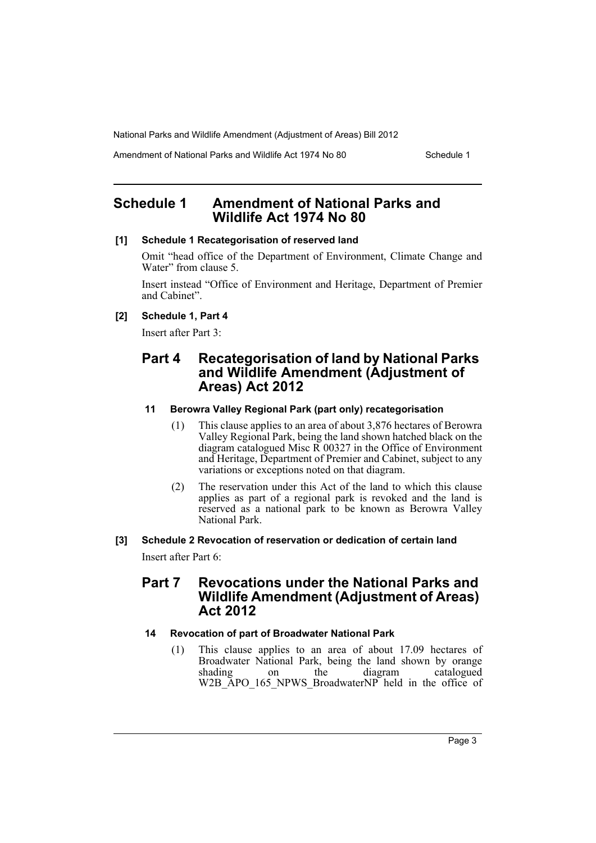Amendment of National Parks and Wildlife Act 1974 No 80 Schedule 1

## <span id="page-4-0"></span>**Schedule 1 Amendment of National Parks and Wildlife Act 1974 No 80**

#### **[1] Schedule 1 Recategorisation of reserved land**

Omit "head office of the Department of Environment, Climate Change and Water" from clause 5.

Insert instead "Office of Environment and Heritage, Department of Premier and Cabinet".

#### **[2] Schedule 1, Part 4**

Insert after Part 3:

## **Part 4 Recategorisation of land by National Parks and Wildlife Amendment (Adjustment of Areas) Act 2012**

#### **11 Berowra Valley Regional Park (part only) recategorisation**

- (1) This clause applies to an area of about 3,876 hectares of Berowra Valley Regional Park, being the land shown hatched black on the diagram catalogued Misc  $\overline{R}$  00327 in the Office of Environment and Heritage, Department of Premier and Cabinet, subject to any variations or exceptions noted on that diagram.
- (2) The reservation under this Act of the land to which this clause applies as part of a regional park is revoked and the land is reserved as a national park to be known as Berowra Valley National Park.

#### **[3] Schedule 2 Revocation of reservation or dedication of certain land**

Insert after Part 6:

## **Part 7 Revocations under the National Parks and Wildlife Amendment (Adjustment of Areas) Act 2012**

#### **14 Revocation of part of Broadwater National Park**

(1) This clause applies to an area of about 17.09 hectares of Broadwater National Park, being the land shown by orange shading on the diagram catalogued on the diagram catalogued W2B\_APO\_165\_NPWS\_BroadwaterNP held in the office of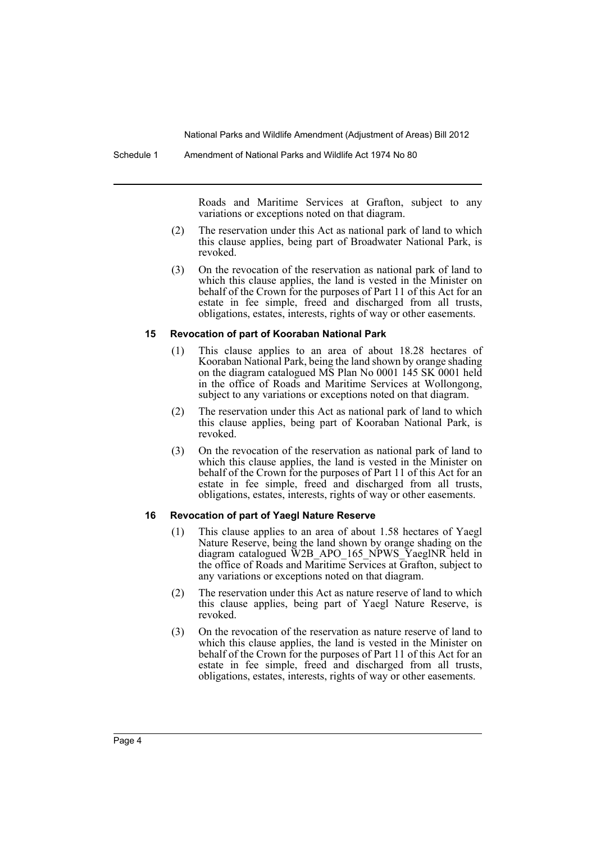Roads and Maritime Services at Grafton, subject to any variations or exceptions noted on that diagram.

- (2) The reservation under this Act as national park of land to which this clause applies, being part of Broadwater National Park, is revoked.
- (3) On the revocation of the reservation as national park of land to which this clause applies, the land is vested in the Minister on behalf of the Crown for the purposes of Part 11 of this Act for an estate in fee simple, freed and discharged from all trusts, obligations, estates, interests, rights of way or other easements.

#### **15 Revocation of part of Kooraban National Park**

- (1) This clause applies to an area of about 18.28 hectares of Kooraban National Park, being the land shown by orange shading on the diagram catalogued MS Plan No 0001 145 SK 0001 held in the office of Roads and Maritime Services at Wollongong, subject to any variations or exceptions noted on that diagram.
- (2) The reservation under this Act as national park of land to which this clause applies, being part of Kooraban National Park, is revoked.
- (3) On the revocation of the reservation as national park of land to which this clause applies, the land is vested in the Minister on behalf of the Crown for the purposes of Part 11 of this Act for an estate in fee simple, freed and discharged from all trusts, obligations, estates, interests, rights of way or other easements.

#### **16 Revocation of part of Yaegl Nature Reserve**

- (1) This clause applies to an area of about 1.58 hectares of Yaegl Nature Reserve, being the land shown by orange shading on the diagram catalogued W2B\_APO\_165\_NPWS\_YaeglNR held in the office of Roads and Maritime Services at Grafton, subject to any variations or exceptions noted on that diagram.
- (2) The reservation under this Act as nature reserve of land to which this clause applies, being part of Yaegl Nature Reserve, is revoked.
- (3) On the revocation of the reservation as nature reserve of land to which this clause applies, the land is vested in the Minister on behalf of the Crown for the purposes of Part 11 of this Act for an estate in fee simple, freed and discharged from all trusts, obligations, estates, interests, rights of way or other easements.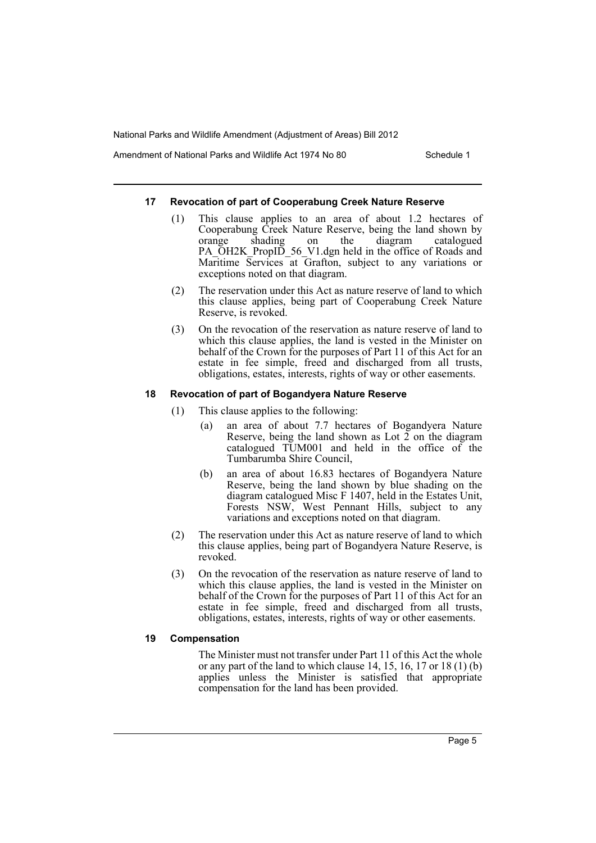Amendment of National Parks and Wildlife Act 1974 No 80 Schedule 1

#### **17 Revocation of part of Cooperabung Creek Nature Reserve**

- (1) This clause applies to an area of about 1.2 hectares of Cooperabung Creek Nature Reserve, being the land shown by orange shading on the diagram catalogued PA\_OH2K\_PropID\_56\_V1.dgn held in the office of Roads and Maritime Services at Grafton, subject to any variations or exceptions noted on that diagram.
- (2) The reservation under this Act as nature reserve of land to which this clause applies, being part of Cooperabung Creek Nature Reserve, is revoked.
- (3) On the revocation of the reservation as nature reserve of land to which this clause applies, the land is vested in the Minister on behalf of the Crown for the purposes of Part 11 of this Act for an estate in fee simple, freed and discharged from all trusts, obligations, estates, interests, rights of way or other easements.

#### **18 Revocation of part of Bogandyera Nature Reserve**

- (1) This clause applies to the following:
	- (a) an area of about 7.7 hectares of Bogandyera Nature Reserve, being the land shown as Lot  $\tilde{2}$  on the diagram catalogued TUM001 and held in the office of the Tumbarumba Shire Council,
	- (b) an area of about 16.83 hectares of Bogandyera Nature Reserve, being the land shown by blue shading on the diagram catalogued Misc F 1407, held in the Estates Unit, Forests NSW, West Pennant Hills, subject to any variations and exceptions noted on that diagram.
- (2) The reservation under this Act as nature reserve of land to which this clause applies, being part of Bogandyera Nature Reserve, is revoked.
- (3) On the revocation of the reservation as nature reserve of land to which this clause applies, the land is vested in the Minister on behalf of the Crown for the purposes of Part 11 of this Act for an estate in fee simple, freed and discharged from all trusts, obligations, estates, interests, rights of way or other easements.

#### **19 Compensation**

The Minister must not transfer under Part 11 of this Act the whole or any part of the land to which clause 14, 15, 16, 17 or 18 (1) (b) applies unless the Minister is satisfied that appropriate compensation for the land has been provided.